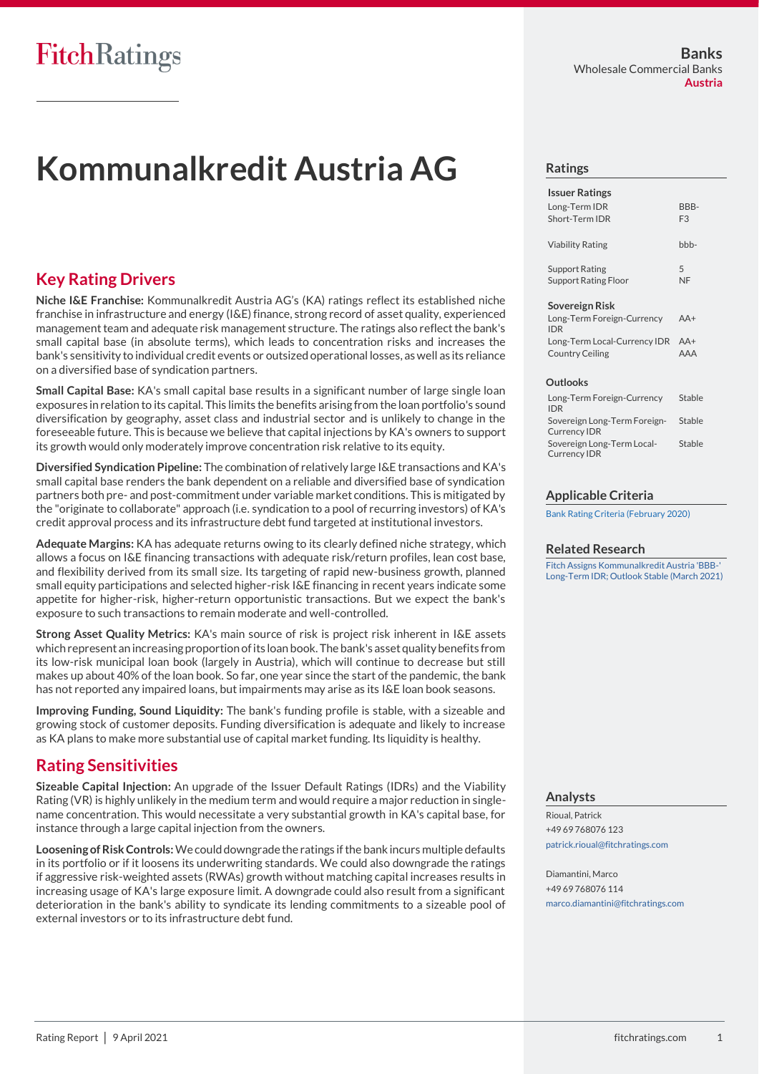# **Kommunalkredit Austria AG**

# **Key Rating Drivers**

**Niche I&E Franchise:** Kommunalkredit Austria AG's (KA) ratings reflect its established niche franchise in infrastructure and energy (I&E) finance, strong record of asset quality, experienced management team and adequate risk management structure. The ratings also reflect the bank's small capital base (in absolute terms), which leads to concentration risks and increases the bank's sensitivity to individual credit events or outsized operational losses, as well as its reliance on a diversified base of syndication partners.

**Small Capital Base:** KA's small capital base results in a significant number of large single loan exposures in relation to its capital. This limits the benefits arising from the loan portfolio's sound diversification by geography, asset class and industrial sector and is unlikely to change in the foreseeable future. This is because we believe that capital injections by KA's owners to support its growth would only moderately improve concentration risk relative to its equity.

**Diversified Syndication Pipeline:** The combination of relatively large I&E transactions and KA's small capital base renders the bank dependent on a reliable and diversified base of syndication partners both pre- and post-commitment under variable market conditions. This is mitigated by the "originate to collaborate" approach (i.e. syndication to a pool of recurring investors) of KA's credit approval process and its infrastructure debt fund targeted at institutional investors.

**Adequate Margins:** KA has adequate returns owing to its clearly defined niche strategy, which allows a focus on I&E financing transactions with adequate risk/return profiles, lean cost base, and flexibility derived from its small size. Its targeting of rapid new-business growth, planned small equity participations and selected higher-risk I&E financing in recent years indicate some appetite for higher-risk, higher-return opportunistic transactions. But we expect the bank's exposure to such transactions to remain moderate and well-controlled.

**Strong Asset Quality Metrics:** KA's main source of risk is project risk inherent in I&E assets which represent an increasing proportion of its loan book. The bank's asset quality benefits from its low-risk municipal loan book (largely in Austria), which will continue to decrease but still makes up about 40% of the loan book. So far, one year since the start of the pandemic, the bank has not reported any impaired loans, but impairments may arise as its I&E loan book seasons.

**Improving Funding, Sound Liquidity:** The bank's funding profile is stable, with a sizeable and growing stock of customer deposits. Funding diversification is adequate and likely to increase as KA plans to make more substantial use of capital market funding. Its liquidity is healthy.

# **Rating Sensitivities**

**Sizeable Capital Injection:** An upgrade of the Issuer Default Ratings (IDRs) and the Viability Rating (VR) is highly unlikely in the medium term and would require a major reduction in singlename concentration. This would necessitate a very substantial growth in KA's capital base, for instance through a large capital injection from the owners.

**Loosening of Risk Controls:**We could downgrade the ratings if the bank incurs multiple defaults in its portfolio or if it loosens its underwriting standards. We could also downgrade the ratings if aggressive risk-weighted assets (RWAs) growth without matching capital increases results in increasing usage of KA's large exposure limit. A downgrade could also result from a significant deterioration in the bank's ability to syndicate its lending commitments to a sizeable pool of external investors or to its infrastructure debt fund.

## **Ratings**

| <b>Issuer Ratings</b>   |                |
|-------------------------|----------------|
| Long-Term IDR           | BBB-           |
| Short-Term IDR          | F <sub>3</sub> |
| <b>Viability Rating</b> | $bbb -$        |
| Support Rating          | 5              |
| Support Rating Floor    | NF             |

#### **Sovereign Risk**

| Long-Term Foreign-Currency       | $AA+$ |
|----------------------------------|-------|
| <b>IDR</b>                       |       |
| Long-Term Local-Currency IDR AA+ |       |
|                                  |       |

#### **Outlooks**

| Long-Term Foreign-Currency<br><b>IDR</b>            | Stable |
|-----------------------------------------------------|--------|
| Sovereign Long-Term Foreign-<br><b>Currency IDR</b> | Stable |
| Sovereign Long-Term Local-<br><b>Currency IDR</b>   | Stable |

### **Applicable Criteria**

[Bank Rating Criteria \(February 2020\)](https://app.fitchconnect.com/search/research/article/FR_RPT_10110041)

### **Related Research**

[Fitch Assigns Kommunalkredit Austria 'BBB-'](https://app.fitchconnect.com/search/research/article/FR_PR_10156162)  [Long-Term IDR; Outlook Stable \(March 2021\)](https://app.fitchconnect.com/search/research/article/FR_PR_10156162)

## **Analysts**

Rioual, Patrick +49 69 768076 123 [patrick.rioual@fitchratings.com](mailto:patrick.rioual@fitchratings.com)

Diamantini, Marco +49 69 768076 114 [marco.diamantini@fitchratings.com](mailto:marco.diamantini@fitchratings.com)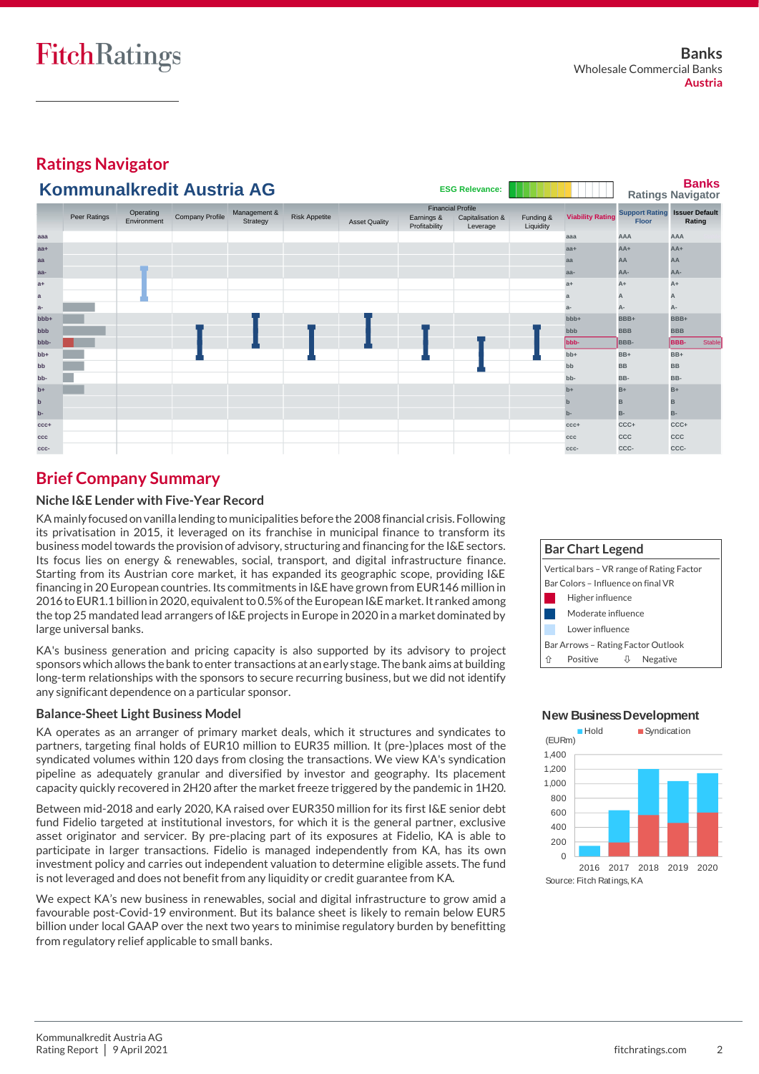**Ratings Navigator**

#### **Banks Ratings Navigator aaa aaa AAA AAA** Stable **aa+ aa+ AA+ AA+** Stable **aa aa AA AA** Stable **aa- aa- AA- AA-** Stable **a+ a+ A+ A+** Stable **a a A A** Stable **a- a- A- A-** Stable **bbb+ bbb+ BBB+ BBB+** Stable **bbb bbb BBB BBB** Stable **bbb- bbb- BBB- BBB-** Stable **bb+ bb+ BB+ BB+** Stable **bb bb BB BB** Stable **bb- bb- BB- BB-** Stable **b+ b+ B+ B+** Stable **b b B B** Stable **b- b- B- B-** Stable **ccc+ ccc+ CCC+ CCC+** Stable **ccc ccc CCC CCC** Stable **ccc- ccc- CCC- CCC-** Stable Peer Ratings Operating Company Profile Management &<br>
Environment Company Profile Strategy Environment **Issuer Default** Capitalisation & Funding & Viability Rating **Floor** Rating .<br>Leverage Financial Profile<br>Risk Appetite **Support Rating Learnings & Capitalisation &** Funding & Viability Rating Support Rating Asset Quality **Farnings & Capitalisation & Funding & Viability Rating Times Contains Asset Quality Floor** Financial Profile Funding & Liquidity **Kommunalkredit Austria AG ESG Relevance:**

#### **Brief Company Summary c c C C** Stable **f f NF D or RD** Stable

# **Niche I&E Lender with Five-Year Record**

KA mainly focused on vanilla lending to municipalities before the 2008 financial crisis. Following its privatisation in 2015, it leveraged on its franchise in municipal finance to transform its business model towards the provision of advisory, structuring and financing for the I&E sectors. Its focus lies on energy & renewables, social, transport, and digital infrastructure finance. Starting from its Austrian core market, it has expanded its geographic scope, providing I&E financing in 20 European countries. Its commitments in I&E have grown from EUR146 million in 2016 to EUR1.1 billionin 2020, equivalent to 0.5% of the European I&E market.It ranked among the top 25 mandated lead arrangers of I&E projects in Europe in 2020 in a market dominated by large universal banks.

KA's business generation and pricing capacity is also supported by its advisory to project sponsors which allows the bank to enter transactions at an early stage. The bank aims at building long-term relationships with the sponsors to secure recurring business, but we did not identify any significant dependence on a particular sponsor.

# **Balance-Sheet Light Business Model**

KA operates as an arranger of primary market deals, which it structures and syndicates to partners, targeting final holds of EUR10 million to EUR35 million. It (pre-)places most of the syndicated volumes within 120 days from closing the transactions. We view KA's syndication pipeline as adequately granular and diversified by investor and geography. Its placement capacity quickly recovered in 2H20 after the market freeze triggered by the pandemic in 1H20.

Between mid-2018 and early 2020, KA raised over EUR350 million for its first I&E senior debt fund Fidelio targeted at institutional investors, for which it is the general partner, exclusive asset originator and servicer. By pre-placing part of its exposures at Fidelio, KA is able to participate in larger transactions. Fidelio is managed independently from KA, has its own investment policy and carries out independent valuation to determine eligible assets. The fund is not leveraged and does not benefit from any liquidity or credit guarantee from KA.

We expect KA's new business in renewables, social and digital infrastructure to grow amid a favourable post-Covid-19 environment. But its balance sheet is likely to remain below EUR5 billion under local GAAP over the next two years to minimise regulatory burden by benefitting from regulatory relief applicable to small banks.



 $\overline{0}$ 200 400 600 800 1,000 1,200 1,400 2016 2017 2018 2019 2020 Hold Syndication Source: Fitch Ratings, KA **New Business Development** (EURm)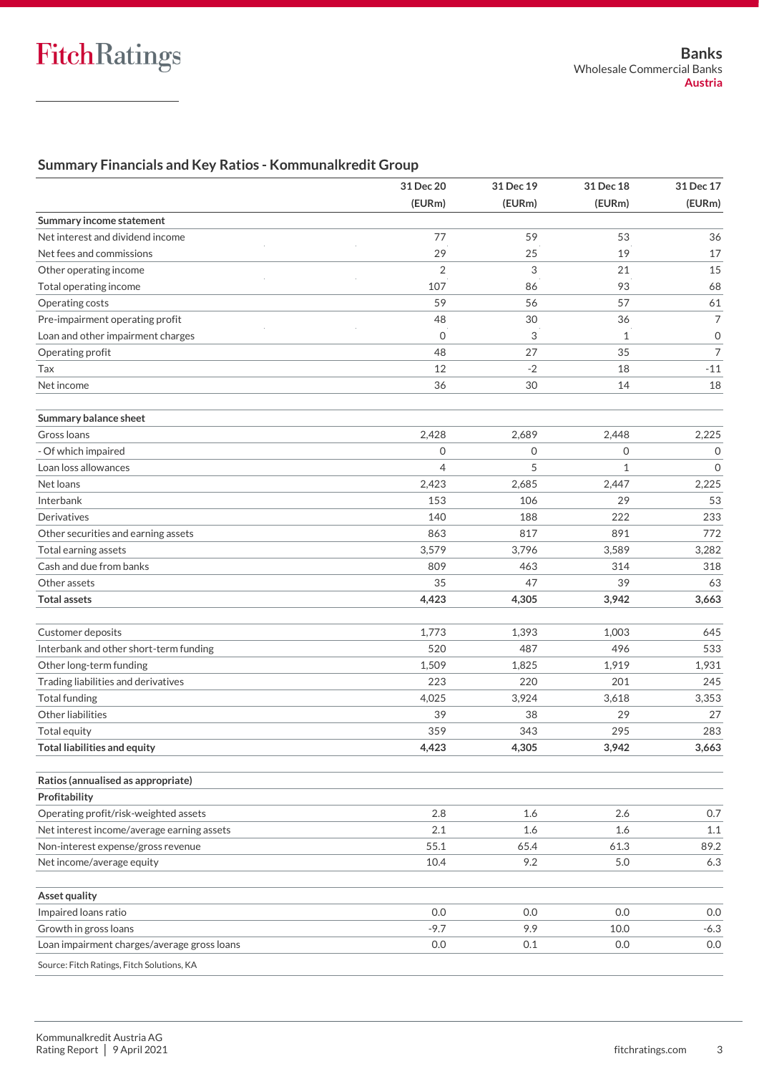# **Summary Financials and Key Ratios - Kommunalkredit Group**

|                                             | 31 Dec 20      | 31 Dec 19    | 31 Dec 18    | 31 Dec 17           |  |
|---------------------------------------------|----------------|--------------|--------------|---------------------|--|
|                                             | (EURm)         | (EURm)       | (EURm)       | (EURm)              |  |
| Summary income statement                    |                |              |              |                     |  |
| Net interest and dividend income            | 77             | 59           | 53           | 36                  |  |
| Net fees and commissions                    | 29             | 25           | 19           | 17                  |  |
| Other operating income                      | $\overline{2}$ | 3            | 21           | 15                  |  |
| Total operating income                      | 107            | 86           | 93           | 68                  |  |
| Operating costs                             | 59             | 56           | 57           | 61                  |  |
| Pre-impairment operating profit             | 48             | 30           | 36           | $\overline{7}$      |  |
| Loan and other impairment charges           | $\mathbf{0}$   | 3            | 1            | $\mathsf{O}\xspace$ |  |
| Operating profit                            | 48             | 27           | 35           | $\overline{7}$      |  |
| Tax                                         | 12             | $-2$         | 18           | $-11$               |  |
| Net income                                  | 36             | 30           | 14           | 18                  |  |
| Summary balance sheet                       |                |              |              |                     |  |
| Gross loans                                 | 2,428          | 2,689        | 2,448        | 2,225               |  |
| - Of which impaired                         | $\mathbf{O}$   | $\mathbf{O}$ | $\mathbf{O}$ | $\mathbf{O}$        |  |
| Loan loss allowances                        | $\overline{4}$ | 5            | $\mathbf{1}$ | $\mathbf{O}$        |  |
| Net loans                                   | 2,423          | 2.685        | 2,447        | 2,225               |  |
| Interbank                                   | 153            | 106          | 29           | 53                  |  |
| Derivatives                                 | 140            | 188          | 222          | 233                 |  |
| Other securities and earning assets         | 863            | 817          | 891          | 772                 |  |
| Total earning assets                        | 3,579          | 3,796        | 3,589        | 3,282               |  |
| Cash and due from banks                     | 809            | 463          | 314          | 318                 |  |
| Other assets                                | 35             | 47           | 39           | 63                  |  |
| <b>Total assets</b>                         | 4,423          | 4,305        | 3,942        | 3,663               |  |
| Customer deposits                           | 1,773          | 1,393        | 1,003        | 645                 |  |
| Interbank and other short-term funding      | 520            | 487          | 496          | 533                 |  |
| Other long-term funding                     | 1,509          | 1,825        | 1,919        | 1,931               |  |
| Trading liabilities and derivatives         | 223            | 220          | 201          | 245                 |  |
| <b>Total funding</b>                        | 4,025          | 3,924        | 3,618        | 3,353               |  |
| Other liabilities                           | 39             | 38           | 29           | 27                  |  |
| Total equity                                | 359            | 343          | 295          | 283                 |  |
| <b>Total liabilities and equity</b>         | 4,423          | 4,305        | 3,942        | 3,663               |  |
| Ratios (annualised as appropriate)          |                |              |              |                     |  |
| Profitability                               |                |              |              |                     |  |
| Operating profit/risk-weighted assets       | 2.8            | 1.6          | 2.6          | 0.7                 |  |
| Net interest income/average earning assets  | 2.1            | 1.6          | 1.6          | 1.1                 |  |
| Non-interest expense/gross revenue          | 55.1           | 65.4         | 61.3         | 89.2                |  |
| Net income/average equity                   | 10.4           | 9.2          | 5.0          | 6.3                 |  |
| Asset quality                               |                |              |              |                     |  |
| Impaired loans ratio                        | 0.0            | 0.0          | 0.0          | 0.0                 |  |
| Growth in gross loans                       | $-9.7$         | 9.9          | 10.0         | $-6.3$              |  |
| Loan impairment charges/average gross loans | 0.0            | 0.1          | 0.0          | 0.0                 |  |
| Source: Fitch Ratings, Fitch Solutions, KA  |                |              |              |                     |  |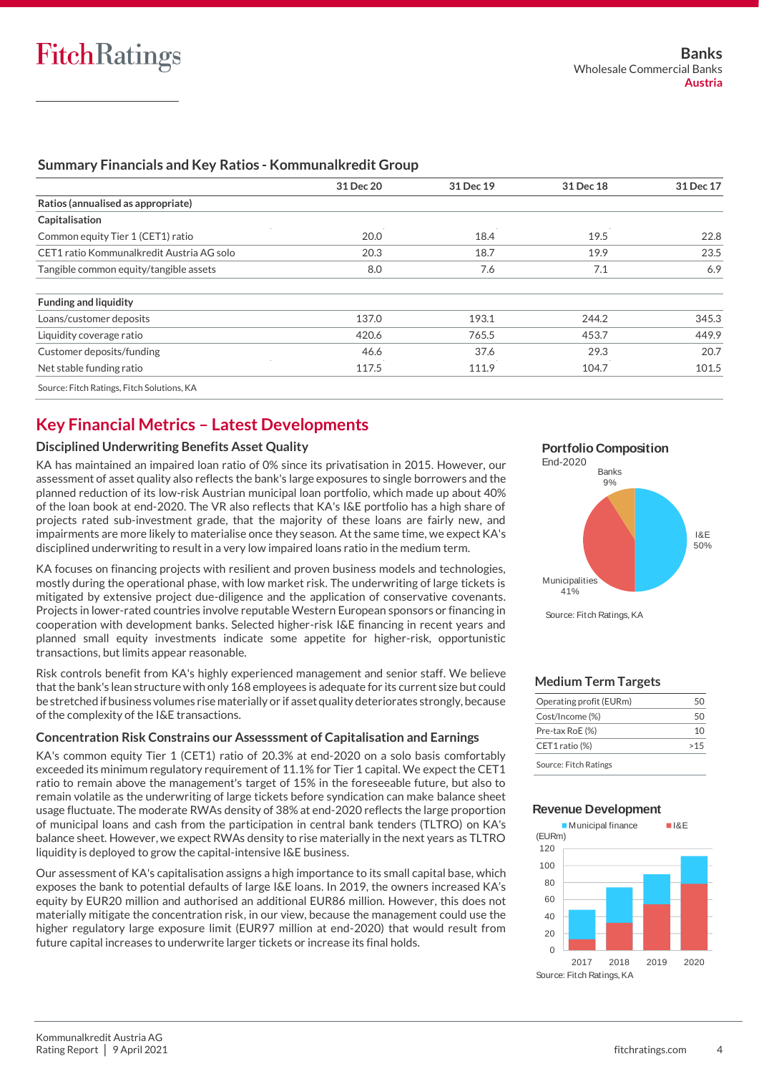|                                           | 31 Dec 20 | 31 Dec 19 | 31 Dec 18 | 31 Dec 17 |
|-------------------------------------------|-----------|-----------|-----------|-----------|
| Ratios (annualised as appropriate)        |           |           |           |           |
| Capitalisation                            |           |           |           |           |
| Common equity Tier 1 (CET1) ratio         | 20.0      | 18.4      | 19.5      | 22.8      |
| CET1 ratio Kommunalkredit Austria AG solo | 20.3      | 18.7      | 19.9      | 23.5      |
| Tangible common equity/tangible assets    | 8.0       | 7.6       | 7.1       | 6.9       |
| <b>Funding and liquidity</b>              |           |           |           |           |
| Loans/customer deposits                   | 137.0     | 193.1     | 244.2     | 345.3     |
| Liquidity coverage ratio                  | 420.6     | 765.5     | 453.7     | 449.9     |
| Customer deposits/funding                 | 46.6      | 37.6      | 29.3      | 20.7      |
| Net stable funding ratio                  | 117.5     | 111.9     | 104.7     | 101.5     |

# **Summary Financials and Key Ratios - Kommunalkredit Group**

# **Key Financial Metrics – Latest Developments**

# **Disciplined Underwriting Benefits Asset Quality**

KA has maintained an impaired loan ratio of 0% since its privatisation in 2015. However, our assessment of asset quality also reflects the bank's large exposures to single borrowers and the planned reduction of its low-risk Austrian municipal loan portfolio, which made up about 40% of the loan book at end-2020. The VR also reflects that KA's I&E portfolio has a high share of projects rated sub-investment grade, that the majority of these loans are fairly new, and impairments are more likely to materialise once they season. At the same time, we expect KA's disciplined underwriting to result in a very low impaired loans ratio in the medium term.

KA focuses on financing projects with resilient and proven business models and technologies, mostly during the operational phase, with low market risk. The underwriting of large tickets is mitigated by extensive project due-diligence and the application of conservative covenants. Projects in lower-rated countries involve reputable Western European sponsors or financing in cooperation with development banks. Selected higher-risk I&E financing in recent years and planned small equity investments indicate some appetite for higher-risk, opportunistic transactions, but limits appear reasonable.

Risk controls benefit from KA's highly experienced management and senior staff. We believe that the bank's lean structure with only 168 employees is adequate for its current size but could be stretched if business volumes rise materially or if asset quality deteriorates strongly, because of the complexity of the I&E transactions.

## **Concentration Risk Constrains our Assesssment of Capitalisation and Earnings**

KA's common equity Tier 1 (CET1) ratio of 20.3% at end-2020 on a solo basis comfortably exceeded its minimum regulatory requirement of 11.1% for Tier 1 capital. We expect the CET1 ratio to remain above the management's target of 15% in the foreseeable future, but also to remain volatile as the underwriting of large tickets before syndication can make balance sheet usage fluctuate. The moderate RWAs density of 38% at end-2020 reflects the large proportion of municipal loans and cash from the participation in central bank tenders (TLTRO) on KA's balance sheet. However, we expect RWAs density to rise materially in the next years as TLTRO liquidity is deployed to grow the capital-intensive I&E business.

Our assessment of KA's capitalisation assigns a high importance to its small capital base, which exposes the bank to potential defaults of large I&E loans. In 2019, the owners increased KA's equity by EUR20 million and authorised an additional EUR86 million. However, this does not materially mitigate the concentration risk, in our view, because the management could use the higher regulatory large exposure limit (EUR97 million at end-2020) that would result from future capital increases to underwrite larger tickets or increase its final holds.



## **Medium Term Targets**

| Operating profit (EURm) |      |
|-------------------------|------|
| Cost/Income (%)         | 5(1) |
| Pre-tax RoE (%)         | 10   |
| CET1 ratio (%)          | >15  |
| Source: Fitch Ratings   |      |

### **Revenue Development**

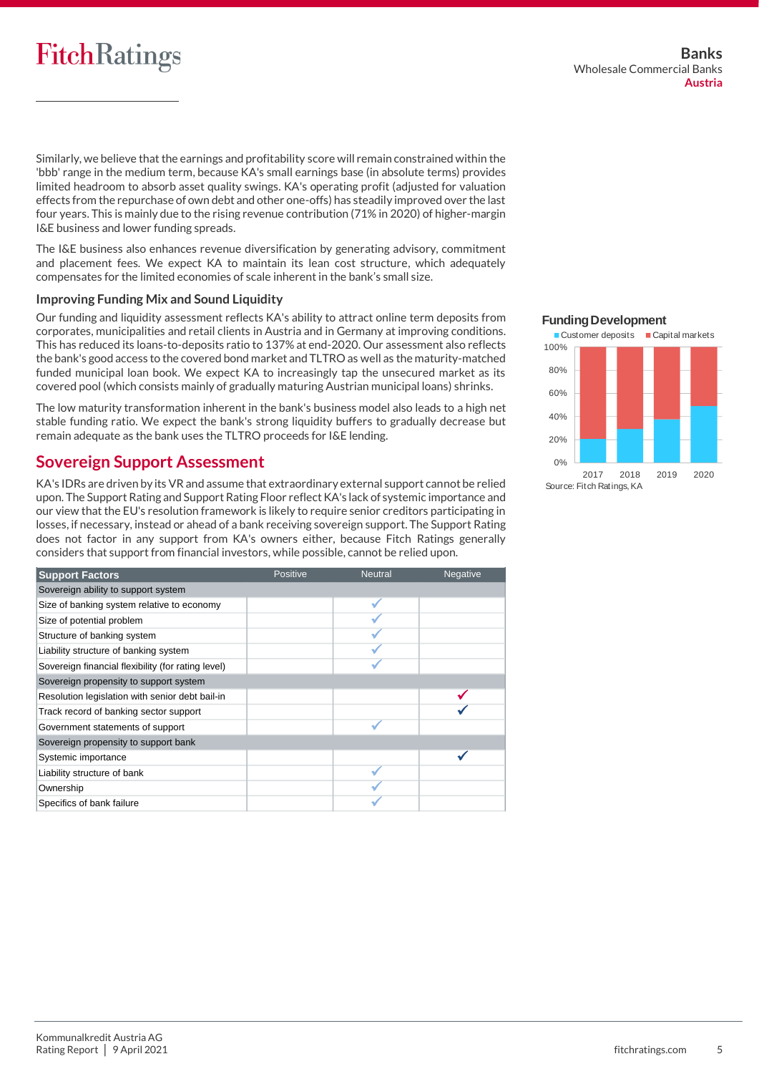# **FitchRatings**

Similarly, we believe that the earnings and profitability score will remain constrained within the 'bbb' range in the medium term, because KA's small earnings base (in absolute terms) provides limited headroom to absorb asset quality swings. KA's operating profit (adjusted for valuation effects from the repurchase of own debt and other one-offs) has steadily improved over the last four years. This is mainly due to the rising revenue contribution (71% in 2020) of higher-margin I&E business and lower funding spreads.

The I&E business also enhances revenue diversification by generating advisory, commitment and placement fees. We expect KA to maintain its lean cost structure, which adequately compensates for the limited economies of scale inherent in the bank's small size.

## **Improving Funding Mix and Sound Liquidity**

Our funding and liquidity assessment reflects KA's ability to attract online term deposits from corporates, municipalities and retail clients in Austria and in Germany at improving conditions. This has reduced its loans-to-deposits ratio to 137% at end-2020. Our assessment also reflects the bank's good access to the covered bond market and TLTRO as well as the maturity-matched funded municipal loan book. We expect KA to increasingly tap the unsecured market as its covered pool (which consists mainly of gradually maturing Austrian municipal loans) shrinks.

The low maturity transformation inherent in the bank's business model also leads to a high net stable funding ratio. We expect the bank's strong liquidity buffers to gradually decrease but remain adequate as the bank uses the TLTRO proceeds for I&E lending.

# **Sovereign Support Assessment**

KA's IDRs are driven by its VR and assume that extraordinary external support cannot be relied upon. The Support Rating and Support Rating Floor reflect KA's lack of systemic importance and our view that the EU's resolution framework is likely to require senior creditors participating in losses, if necessary, instead or ahead of a bank receiving sovereign support. The Support Rating does not factor in any support from KA's owners either, because Fitch Ratings generally considers that support from financial investors, while possible, cannot be relied upon.

| <b>Support Factors</b>                             | <b>Positive</b> | <b>Neutral</b> | <b>Negative</b> |
|----------------------------------------------------|-----------------|----------------|-----------------|
| Sovereign ability to support system                |                 |                |                 |
| Size of banking system relative to economy         |                 |                |                 |
| Size of potential problem                          |                 |                |                 |
| Structure of banking system                        |                 |                |                 |
| Liability structure of banking system              |                 |                |                 |
| Sovereign financial flexibility (for rating level) |                 |                |                 |
| Sovereign propensity to support system             |                 |                |                 |
| Resolution legislation with senior debt bail-in    |                 |                |                 |
| Track record of banking sector support             |                 |                |                 |
| Government statements of support                   |                 |                |                 |
| Sovereign propensity to support bank               |                 |                |                 |
| Systemic importance                                |                 |                |                 |
| Liability structure of bank                        |                 |                |                 |
| Ownership                                          |                 |                |                 |
| Specifics of bank failure                          |                 |                |                 |

## **Funding Development**

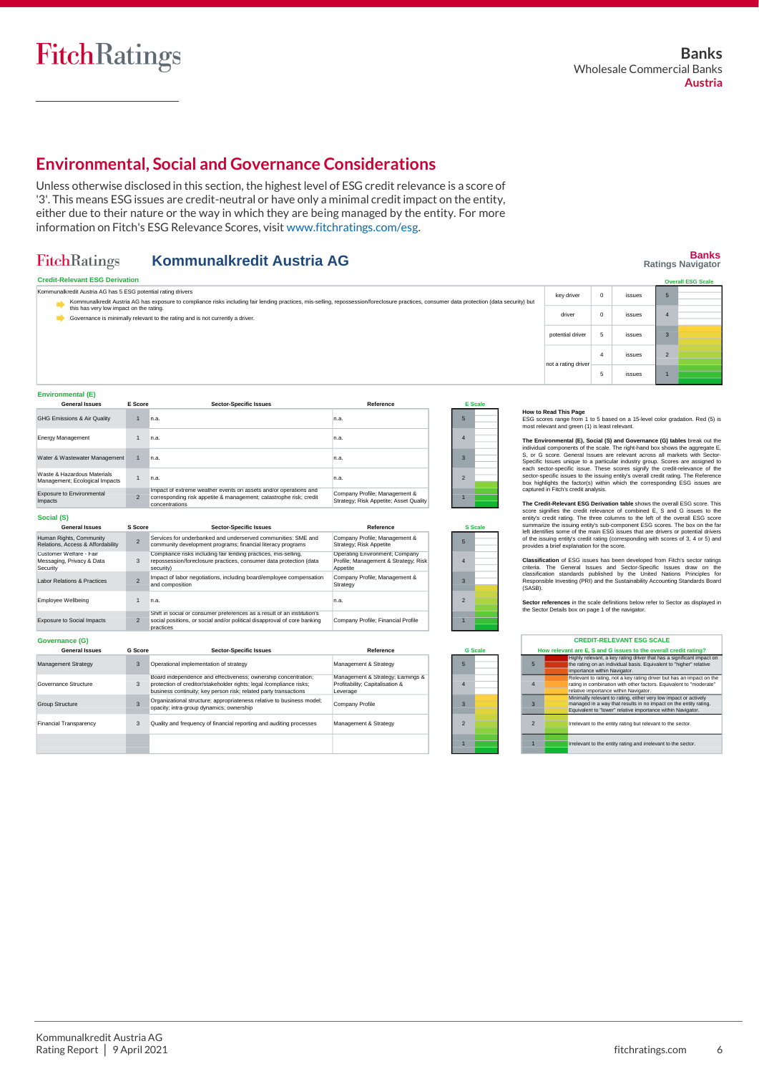**Social (S)**

Management Strategy<br>Napi  $\vert$ Go Group Structure Fina<br>T

Employee Wellbeing  $Exp$ 

Exposure to Environmental Impacts

**Banks Ratings Navigator**

# **Environmental, Social and Governance Considerations**

Unless otherwise disclosed in this section, the highest level of ESG credit relevance is a score of '3'. This means ESG issues are credit-neutral or have only a minimal credit impact on the entity, either due to their nature or the way in which they are being managed by the entity. For more information on Fitch's ESG Relevance Scores, visit [www.fitchratings.com/esg.](http://www.fitchratings.com/esg)

#### FitchRatings **Kommunalkredit Austria AG**

#### **Credit-Relevant ESG Derivation Environmental (E) Sector-Specific Issues** n.a. 1 n.a. 1 n.a. n.a. 1 **General Issue** GHG Emissions & Air Quality Energy Management Water & Wastewater Management Waste & Hazardous Materials Management; Ecological Impacts 1 **How to Read This Page**<br>ESG scores range from 1 to 5 based on a 15-level color gradation. Red (5) is<br>most relevant and green (1) is least relevant. 5 4 3 2 1 **Reference** 5 4 3 2 **E Scale** n.a. n.a. n.a. n.a. Governance is minimally relevant to the rating and is not currently a driver. **E Score** → Kommunalkredit Austria AG has exposure to compliance risks including fair lending practices, mis-selling, repossession/foreclosure practices, consumer data protection (data security) but<br>--------------------------------**Overall ESG Scale** not a rating driver 4 issues 5 issues Kommunalkredit Austria AG has 5 ESG potential rating drivers key driver 0 issues driver 0 issues potential driver 5 issues

Company Profile; Management & Strategy; Risk Appetite; Asset Quality

1

1

| Social (S)                                                       |                          |                                                                                                                                                                                                           |                                                                                    |                |  |
|------------------------------------------------------------------|--------------------------|-----------------------------------------------------------------------------------------------------------------------------------------------------------------------------------------------------------|------------------------------------------------------------------------------------|----------------|--|
| <b>General Issues</b>                                            | S Score                  | <b>Sector-Specific Issues</b>                                                                                                                                                                             | Reference                                                                          | S Scale        |  |
| Human Rights, Community<br>Relations, Access & Affordability     | $\overline{\phantom{0}}$ | Services for underbanked and underserved communities: SMF and<br>community development programs; financial literacy programs                                                                              | Company Profile; Management &<br>Strategy: Risk Appetite                           | 5              |  |
| Customer Welfare - Fair<br>Messaging, Privacy & Data<br>Security | 3                        | Compliance risks including fair lending practices, mis-selling,<br>repossession/foreclosure practices, consumer data protection (data<br>securitv)                                                        | Operating Environment; Company<br>Profile: Management & Strategy: Risk<br>Appetite | 4              |  |
| Labor Relations & Practices                                      | $\overline{\phantom{0}}$ | Impact of labor negotiations, including board/employee compensation<br>and composition                                                                                                                    | Company Profile: Management &<br>Strategy                                          | 3              |  |
| <b>Employee Wellbeing</b>                                        | $\mathbf{1}$             | n.a.                                                                                                                                                                                                      | n.a.                                                                               | $\mathfrak{p}$ |  |
| <b>Exposure to Social Impacts</b>                                | $\mathfrak{p}$           | Shift in social or consumer preferences as a result of an institution's<br>social positions, or social and/or political disapproval of core banking<br>practices                                          | Company Profile; Financial Profile                                                 |                |  |
| Governance (G)                                                   |                          |                                                                                                                                                                                                           |                                                                                    |                |  |
| <b>General Issues</b>                                            | <b>G</b> Score           | <b>Sector-Specific Issues</b>                                                                                                                                                                             | Reference                                                                          | <b>G</b> Scale |  |
| <b>Management Strategy</b>                                       | 3                        | Operational implementation of strategy                                                                                                                                                                    | Management & Strategy                                                              | 5              |  |
| Governance Structure                                             | 3                        | Board independence and effectiveness; ownership concentration;<br>protection of creditor/stakeholder rights; legal /compliance risks;<br>business continuity: key person risk: related party transactions | Management & Strategy; Earnings &<br>Profitability; Capitalisation &<br>Leverage   | Δ              |  |
| Group Structure                                                  | 3                        | Organizational structure; appropriateness relative to business model;<br>opacity; intra-group dynamics; ownership                                                                                         | Company Profile                                                                    | 3              |  |
| <b>Financial Transparency</b>                                    | 3                        | Quality and frequency of financial reporting and auditing processes                                                                                                                                       | Management & Strategy                                                              | $\mathfrak{p}$ |  |

Impact of extreme weather events on assets and/or operations and corresponding risk appetite & management; catastrophe risk; credit

concentrations

 $\overline{2}$ 

The Environmental (Ep, Social (S) and Governance (G) tables break out the individual components of the scale. The right-hand box shows the aggregate E, S, or G score. General Issues are relevant across all markets with Sec

The Credit-Relevant ESG Derivation table shows the overall ESG score. This credit-Relevant score signifies the credit relevance of combined E, S and G issues to the entity's credit rating. The three columns to the left of

Classification of ESG issues has been developed from Firch's sector ratings<br>criteria. The General Issues and Sector-Specific Issues draw on the<br>classification standards published by the United Nations Principles for<br>Respon

**Sector references** in the scale definitions below refer to Sector as displayed in the Sector Details box on page 1 of the navigator.

|                 | <b>CREDIT-RELEVANT ESG SCALE</b> |                                                                                                                                                                                                     |  |
|-----------------|----------------------------------|-----------------------------------------------------------------------------------------------------------------------------------------------------------------------------------------------------|--|
|                 |                                  | How relevant are E, S and G issues to the overall credit rating?                                                                                                                                    |  |
| $5\overline{5}$ |                                  | Highly relevant, a key rating driver that has a significant impact on<br>the rating on an individual basis. Equivalent to "higher" relative<br>importance within Navigator.                         |  |
| $\overline{4}$  |                                  | Relevant to rating, not a key rating driver but has an impact on the<br>rating in combination with other factors. Equivalent to "moderate"<br>relative importance within Navigator.                 |  |
| $\mathbf{3}$    |                                  | Minimally relevant to rating, either very low impact or actively<br>managed in a way that results in no impact on the entity rating.<br>Equivalent to "lower" relative importance within Navigator. |  |
| $\mathcal{P}$   |                                  | Irrelevant to the entity rating but relevant to the sector.                                                                                                                                         |  |
|                 |                                  | Irrelevant to the entity rating and irrelevant to the sector.                                                                                                                                       |  |